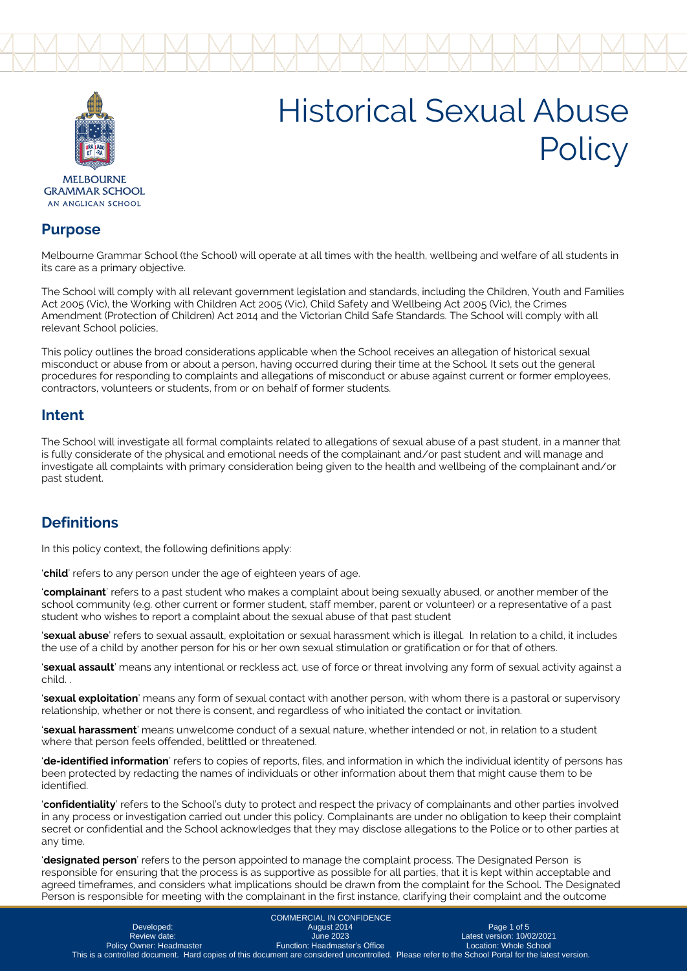



AN ANGLICAN SCHOOL

#### **Purpose**

Melbourne Grammar School (the School) will operate at all times with the health, wellbeing and welfare of all students in its care as a primary objective.

The School will comply with all relevant government legislation and standards, including the Children, Youth and Families Act 2005 (Vic), the Working with Children Act 2005 (Vic), Child Safety and Wellbeing Act 2005 (Vic), the Crimes Amendment (Protection of Children) Act 2014 and the Victorian Child Safe Standards. The School will comply with all relevant School policies,

This policy outlines the broad considerations applicable when the School receives an allegation of historical sexual misconduct or abuse from or about a person, having occurred during their time at the School. It sets out the general procedures for responding to complaints and allegations of misconduct or abuse against current or former employees, contractors, volunteers or students, from or on behalf of former students.

### **Intent**

The School will investigate all formal complaints related to allegations of sexual abuse of a past student, in a manner that is fully considerate of the physical and emotional needs of the complainant and/or past student and will manage and investigate all complaints with primary consideration being given to the health and wellbeing of the complainant and/or past student.

## **Definitions**

In this policy context, the following definitions apply:

'**child**' refers to any person under the age of eighteen years of age.

'**complainant**' refers to a past student who makes a complaint about being sexually abused, or another member of the school community (e.g. other current or former student, staff member, parent or volunteer) or a representative of a past student who wishes to report a complaint about the sexual abuse of that past student

'**sexual abuse**' refers to sexual assault, exploitation or sexual harassment which is illegal. In relation to a child, it includes the use of a child by another person for his or her own sexual stimulation or gratification or for that of others.

'**sexual assault**' means any intentional or reckless act, use of force or threat involving any form of sexual activity against a child. .

'**sexual exploitation**' means any form of sexual contact with another person, with whom there is a pastoral or supervisory relationship, whether or not there is consent, and regardless of who initiated the contact or invitation.

'**sexual harassment**' means unwelcome conduct of a sexual nature, whether intended or not, in relation to a student where that person feels offended, belittled or threatened.

'**de-identified information**' refers to copies of reports, files, and information in which the individual identity of persons has been protected by redacting the names of individuals or other information about them that might cause them to be identified.

'**confidentiality**' refers to the School's duty to protect and respect the privacy of complainants and other parties involved in any process or investigation carried out under this policy. Complainants are under no obligation to keep their complaint secret or confidential and the School acknowledges that they may disclose allegations to the Police or to other parties at any time.

'**designated person**' refers to the person appointed to manage the complaint process. The Designated Person is responsible for ensuring that the process is as supportive as possible for all parties, that it is kept within acceptable and agreed timeframes, and considers what implications should be drawn from the complaint for the School. The Designated Person is responsible for meeting with the complainant in the first instance, clarifying their complaint and the outcome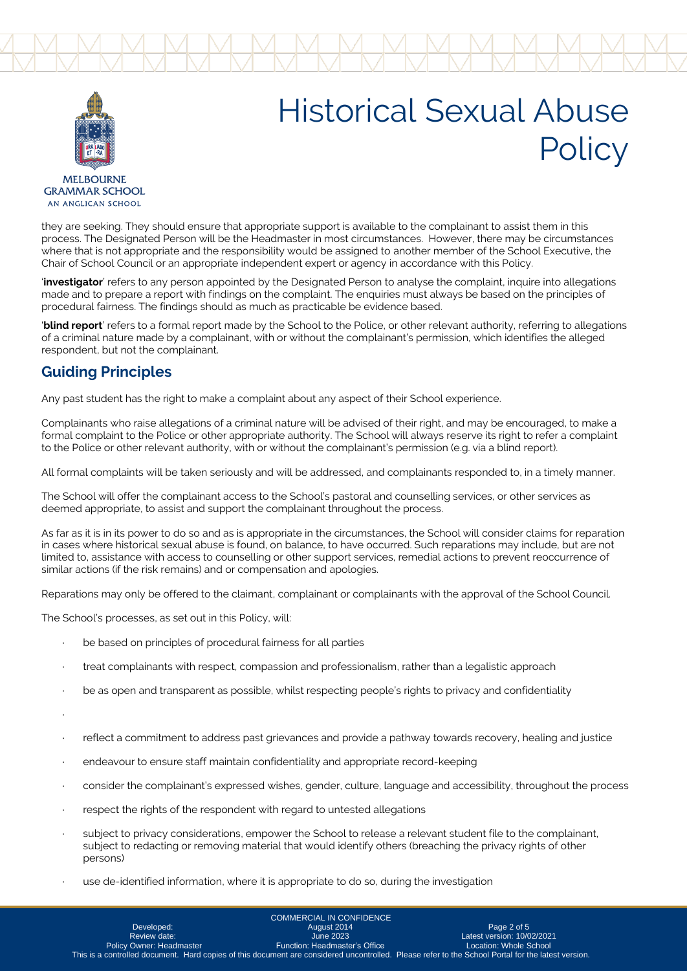



they are seeking. They should ensure that appropriate support is available to the complainant to assist them in this process. The Designated Person will be the Headmaster in most circumstances. However, there may be circumstances where that is not appropriate and the responsibility would be assigned to another member of the School Executive, the Chair of School Council or an appropriate independent expert or agency in accordance with this Policy.

'**investigator**' refers to any person appointed by the Designated Person to analyse the complaint, inquire into allegations made and to prepare a report with findings on the complaint. The enquiries must always be based on the principles of procedural fairness. The findings should as much as practicable be evidence based.

'**blind report**' refers to a formal report made by the School to the Police, or other relevant authority, referring to allegations of a criminal nature made by a complainant, with or without the complainant's permission, which identifies the alleged respondent, but not the complainant.

### **Guiding Principles**

Any past student has the right to make a complaint about any aspect of their School experience.

Complainants who raise allegations of a criminal nature will be advised of their right, and may be encouraged, to make a formal complaint to the Police or other appropriate authority. The School will always reserve its right to refer a complaint to the Police or other relevant authority, with or without the complainant's permission (e.g. via a blind report).

All formal complaints will be taken seriously and will be addressed, and complainants responded to, in a timely manner.

The School will offer the complainant access to the School's pastoral and counselling services, or other services as deemed appropriate, to assist and support the complainant throughout the process.

As far as it is in its power to do so and as is appropriate in the circumstances, the School will consider claims for reparation in cases where historical sexual abuse is found, on balance, to have occurred. Such reparations may include, but are not limited to, assistance with access to counselling or other support services, remedial actions to prevent reoccurrence of similar actions (if the risk remains) and or compensation and apologies.

Reparations may only be offered to the claimant, complainant or complainants with the approval of the School Council.

The School's processes, as set out in this Policy, will:

- be based on principles of procedural fairness for all parties
- treat complainants with respect, compassion and professionalism, rather than a legalistic approach
- be as open and transparent as possible, whilst respecting people's rights to privacy and confidentiality
- ·
- · reflect a commitment to address past grievances and provide a pathway towards recovery, healing and justice
- endeavour to ensure staff maintain confidentiality and appropriate record-keeping
- · consider the complainant's expressed wishes, gender, culture, language and accessibility, throughout the process
- respect the rights of the respondent with regard to untested allegations
- subject to privacy considerations, empower the School to release a relevant student file to the complainant, subject to redacting or removing material that would identify others (breaching the privacy rights of other persons)
- use de-identified information, where it is appropriate to do so, during the investigation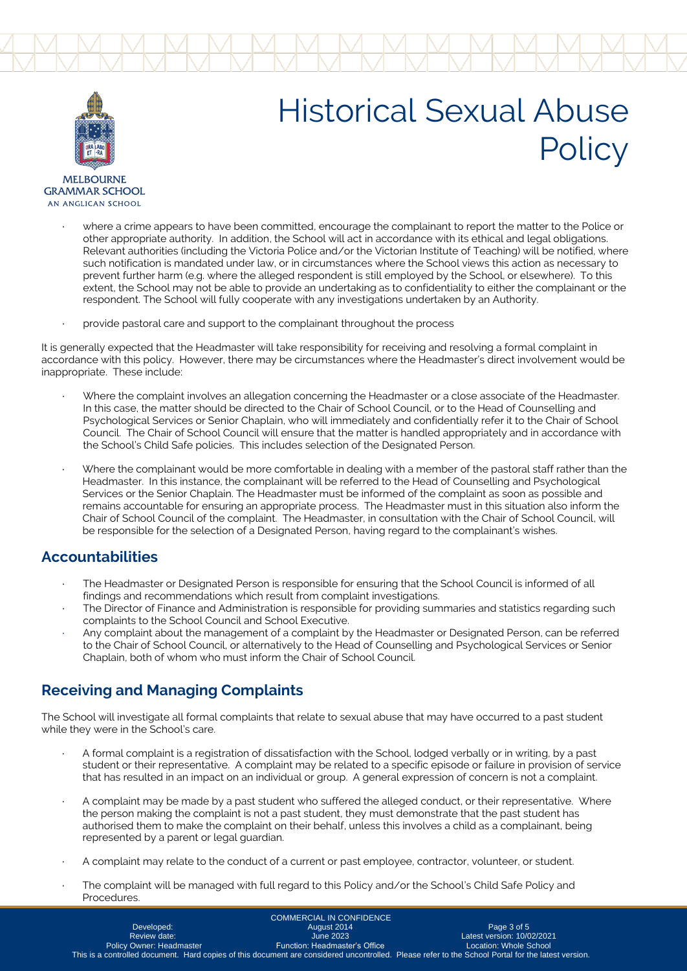



**MEI BOLIRNE GRAMMAR SCHOOL** AN ANGLICAN SCHOOL

- where a crime appears to have been committed, encourage the complainant to report the matter to the Police or other appropriate authority. In addition, the School will act in accordance with its ethical and legal obligations. Relevant authorities (including the Victoria Police and/or the Victorian Institute of Teaching) will be notified, where such notification is mandated under law, or in circumstances where the School views this action as necessary to prevent further harm (e.g. where the alleged respondent is still employed by the School, or elsewhere). To this extent, the School may not be able to provide an undertaking as to confidentiality to either the complainant or the respondent. The School will fully cooperate with any investigations undertaken by an Authority.
- provide pastoral care and support to the complainant throughout the process

It is generally expected that the Headmaster will take responsibility for receiving and resolving a formal complaint in accordance with this policy. However, there may be circumstances where the Headmaster's direct involvement would be inappropriate. These include:

- · Where the complaint involves an allegation concerning the Headmaster or a close associate of the Headmaster. In this case, the matter should be directed to the Chair of School Council, or to the Head of Counselling and Psychological Services or Senior Chaplain, who will immediately and confidentially refer it to the Chair of School Council. The Chair of School Council will ensure that the matter is handled appropriately and in accordance with the School's Child Safe policies. This includes selection of the Designated Person.
- Where the complainant would be more comfortable in dealing with a member of the pastoral staff rather than the Headmaster. In this instance, the complainant will be referred to the Head of Counselling and Psychological Services or the Senior Chaplain. The Headmaster must be informed of the complaint as soon as possible and remains accountable for ensuring an appropriate process. The Headmaster must in this situation also inform the Chair of School Council of the complaint. The Headmaster, in consultation with the Chair of School Council, will be responsible for the selection of a Designated Person, having regard to the complainant's wishes.

### **Accountabilities**

- The Headmaster or Designated Person is responsible for ensuring that the School Council is informed of all findings and recommendations which result from complaint investigations.
- · The Director of Finance and Administration is responsible for providing summaries and statistics regarding such complaints to the School Council and School Executive.
- Any complaint about the management of a complaint by the Headmaster or Designated Person, can be referred to the Chair of School Council, or alternatively to the Head of Counselling and Psychological Services or Senior Chaplain, both of whom who must inform the Chair of School Council.

## **Receiving and Managing Complaints**

The School will investigate all formal complaints that relate to sexual abuse that may have occurred to a past student while they were in the School's care.

- · A formal complaint is a registration of dissatisfaction with the School, lodged verbally or in writing, by a past student or their representative. A complaint may be related to a specific episode or failure in provision of service that has resulted in an impact on an individual or group. A general expression of concern is not a complaint.
- A complaint may be made by a past student who suffered the alleged conduct, or their representative. Where the person making the complaint is not a past student, they must demonstrate that the past student has authorised them to make the complaint on their behalf, unless this involves a child as a complainant, being represented by a parent or legal guardian.
- A complaint may relate to the conduct of a current or past employee, contractor, volunteer, or student.
- The complaint will be managed with full regard to this Policy and/or the School's Child Safe Policy and Procedures.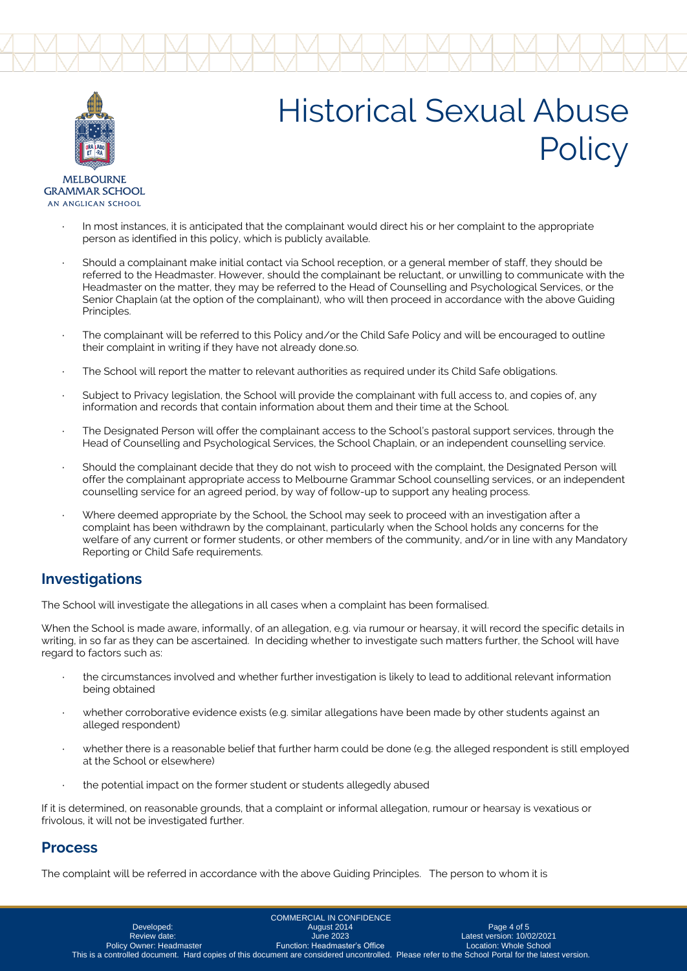



**MEI BOLIRNE GRAMMAR SCHOOL** AN ANGLICAN SCHOOL

- In most instances, it is anticipated that the complainant would direct his or her complaint to the appropriate person as identified in this policy, which is publicly available.
- Should a complainant make initial contact via School reception, or a general member of staff, they should be referred to the Headmaster. However, should the complainant be reluctant, or unwilling to communicate with the Headmaster on the matter, they may be referred to the Head of Counselling and Psychological Services, or the Senior Chaplain (at the option of the complainant), who will then proceed in accordance with the above Guiding Principles.
- The complainant will be referred to this Policy and/or the Child Safe Policy and will be encouraged to outline their complaint in writing if they have not already done.so.
- The School will report the matter to relevant authorities as required under its Child Safe obligations.
- Subject to Privacy legislation, the School will provide the complainant with full access to, and copies of, any information and records that contain information about them and their time at the School.
- The Designated Person will offer the complainant access to the School's pastoral support services, through the Head of Counselling and Psychological Services, the School Chaplain, or an independent counselling service.
- Should the complainant decide that they do not wish to proceed with the complaint, the Designated Person will offer the complainant appropriate access to Melbourne Grammar School counselling services, or an independent counselling service for an agreed period, by way of follow-up to support any healing process.
- Where deemed appropriate by the School, the School may seek to proceed with an investigation after a complaint has been withdrawn by the complainant, particularly when the School holds any concerns for the welfare of any current or former students, or other members of the community, and/or in line with any Mandatory Reporting or Child Safe requirements.

## **Investigations**

The School will investigate the allegations in all cases when a complaint has been formalised.

When the School is made aware, informally, of an allegation, e.g. via rumour or hearsay, it will record the specific details in writing, in so far as they can be ascertained. In deciding whether to investigate such matters further, the School will have regard to factors such as:

- the circumstances involved and whether further investigation is likely to lead to additional relevant information being obtained
- whether corroborative evidence exists (e.g. similar allegations have been made by other students against an alleged respondent)
- whether there is a reasonable belief that further harm could be done (e.g. the alleged respondent is still employed at the School or elsewhere)
- the potential impact on the former student or students allegedly abused

If it is determined, on reasonable grounds, that a complaint or informal allegation, rumour or hearsay is vexatious or frivolous, it will not be investigated further.

### **Process**

The complaint will be referred in accordance with the above Guiding Principles. The person to whom it is